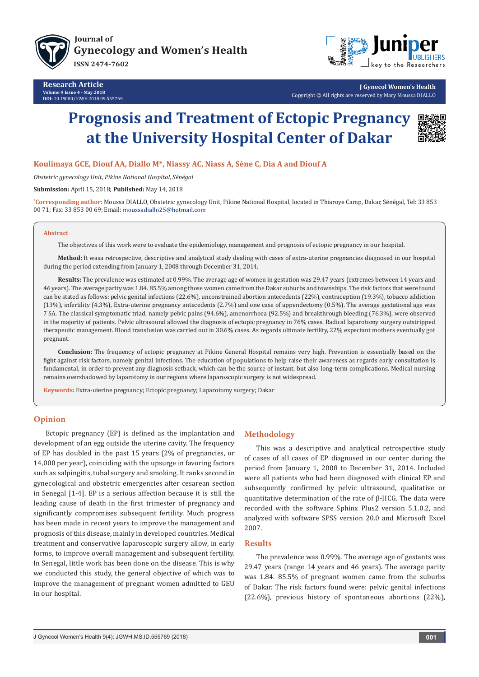

**Research Article Volume 9 Issue 4 - May 2018 DOI:** [10.19080/JGWH.2018.09.555769](http://dx.doi.org/10.19080/JGWH.2018.09.555769)



**J Gynecol Women's Health** Copyright © All rights are reserved by Mary Moussa DIALLO

# **Prognosis and Treatment of Ectopic Pregnancy at the University Hospital Center of Dakar**



## **Koulimaya GCE, Diouf AA, Diallo M\*, Niassy AC, Niass A, Sène C, Dia A and Diouf A**

*Obstetric gynecology Unit, Pikine National Hospital, Sénégal*

**Submission:** April 15, 2018; **Published:** May 14, 2018

**\* Corresponding author:** Moussa DIALLO, Obstetric gynecology Unit, Pikine National Hospital, located in Thiaroye Camp, Dakar, Sénégal, Tel: 33 853 00 71; Fax: 33 853 00 69; Email: moussadiallo25@hotmail.com

#### **Abstract**

The objectives of this work were to evaluate the epidemiology, management and prognosis of ectopic pregnancy in our hospital.

**Method:** It wasa retrospective, descriptive and analytical study dealing with cases of extra-uterine pregnancies diagnosed in our hospital during the period extending from January 1, 2008 through December 31, 2014.

**Results:** The prevalence was estimated at 0.99%. The average age of women in gestation was 29.47 years (extremes between 14 years and 46 years). The average parity was 1.84. 85.5% among those women came from the Dakar suburbs and townships. The risk factors that were found can be stated as follows: pelvic genital infections (22.6%), unconstrained abortion antecedents (22%), contraception (19.3%), tobacco addiction (13%), infertility (4.3%), Extra-uterine pregnancy antecedents (2.7%) and one case of appendectomy (0.5%). The average gestational age was 7 SA. The classical symptomatic triad, namely pelvic pains (94.6%), amenorrhoea (92.5%) and breakthrough bleeding (76.3%), were observed in the majority of patients. Pelvic ultrasound allowed the diagnosis of ectopic pregnancy in 76% cases. Radical laparotomy surgery outstripped therapeutic management. Blood transfusion was carried out in 30.6% cases. As regards ultimate fertility, 22% expectant mothers eventually got pregnant.

**Conclusion:** The frequency of ectopic pregnancy at Pikine General Hospital remains very high. Prevention is essentially based on the fight against risk factors, namely genital infections. The education of populations to help raise their awareness as regards early consultation is fundamental, in order to prevent any diagnosis setback, which can be the source of instant, but also long-term complications. Medical nursing remains overshadowed by laparotomy in our regions where laparoscopic surgery is not widespread.

**Keywords:** Extra-uterine pregnancy; Ectopic pregnancy; Laparotomy surgery; Dakar

# **Opinion**

Ectopic pregnancy (EP) is defined as the implantation and development of an egg outside the uterine cavity. The frequency of EP has doubled in the past 15 years (2% of pregnancies, or 14,000 per year), coinciding with the upsurge in favoring factors such as salpingitis, tubal surgery and smoking. It ranks second in gynecological and obstetric emergencies after cesarean section in Senegal [1-4]. EP is a serious affection because it is still the leading cause of death in the first trimester of pregnancy and significantly compromises subsequent fertility. Much progress has been made in recent years to improve the management and prognosis of this disease, mainly in developed countries. Medical treatment and conservative laparoscopic surgery allow, in early forms, to improve overall management and subsequent fertility. In Senegal, little work has been done on the disease. This is why we conducted this study, the general objective of which was to improve the management of pregnant women admitted to GEU in our hospital.

# **Methodology**

This was a descriptive and analytical retrospective study of cases of all cases of EP diagnosed in our center during the period from January 1, 2008 to December 31, 2014. Included were all patients who had been diagnosed with clinical EP and subsequently confirmed by pelvic ultrasound, qualitative or quantitative determination of the rate of β-HCG. The data were recorded with the software Sphinx Plus2 version 5.1.0.2, and analyzed with software SPSS version 20.0 and Microsoft Excel 2007.

#### **Results**

The prevalence was 0.99%. The average age of gestants was 29.47 years (range 14 years and 46 years). The average parity was 1.84. 85.5% of pregnant women came from the suburbs of Dakar. The risk factors found were: pelvic genital infections (22.6%), previous history of spontaneous abortions (22%),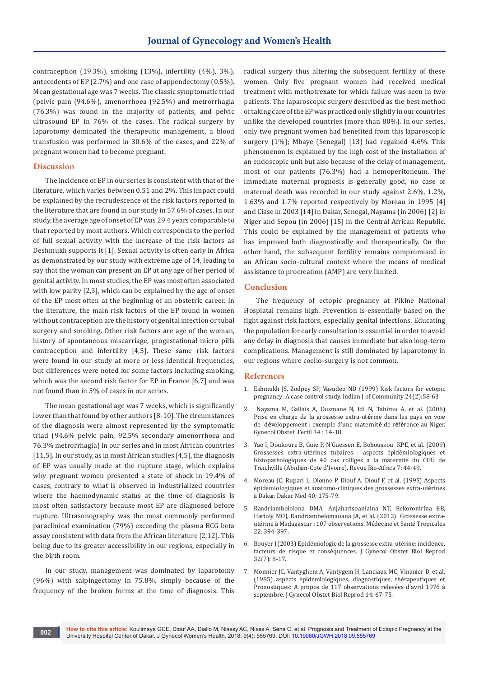contraception (19.3%), smoking (13%), infertility (4%), 3%), antecedents of EP (2.7%) and one case of appendectomy (0.5%). Mean gestational age was 7 weeks. The classic symptomatic triad (pelvic pain (94.6%), amenorrhoea (92.5%) and metrorrhagia (76.3%) was found in the majority of patients, and pelvic ultrasound EP in 76% of the cases. The radical surgery by laparotomy dominated the therapeutic management, a blood transfusion was performed in 30.6% of the cases, and 22% of pregnant women had to become pregnant.

### **Discussion**

The incidence of EP in our series is consistent with that of the literature, which varies between 0.51 and 2%. This impact could be explained by the recrudescence of the risk factors reported in the literature that are found in our study in 57.6% of cases. In our study, the average age of onset of EP was 29.4 years comparable to that reported by most authors. Which corresponds to the period of full sexual activity with the increase of the risk factors as Deshmukh supports it [1]. Sexual activity is often early in Africa as demonstrated by our study with extreme age of 14, leading to say that the woman can present an EP at any age of her period of genital activity. In most studies, the EP was most often associated with low parity [2,3], which can be explained by the age of onset of the EP most often at the beginning of an obstetric career. In the literature, the main risk factors of the EP found in women without contraception are the history of genital infection or tubal surgery and smoking. Other risk factors are age of the woman, history of spontaneous miscarriage, progestational micro pills contraception and infertility [4,5]. These same risk factors were found in our study at more or less identical frequencies, but differences were noted for some factors including smoking, which was the second risk factor for EP in France [6,7] and was not found than in 3% of cases in our series.

The mean gestational age was 7 weeks, which is significantly lower than that found by other authors [8-10]. The circumstances of the diagnosis were almost represented by the symptomatic triad (94.6% pelvic pain, 92.5% secondary amenorrhoea and 76.3% metrorrhagia) in our series and in most African countries [11,5]. In our study, as in most African studies [4,5], the diagnosis of EP was usually made at the rupture stage, which explains why pregnant women presented a state of shock in 19.4% of cases, contrary to what is observed in industrialized countries where the haemodynamic status at the time of diagnosis is most often satisfactory because most EP are diagnosed before rupture. Ultrasonography was the most commonly performed paraclinical examination (79%) exceeding the plasma BCG beta assay consistent with data from the African literature [2,12]. This being due to its greater accessibility in our regions, especially in the birth room.

In our study, management was dominated by laparotomy (96%) with salpingectomy in 75.8%, simply because of the frequency of the broken forms at the time of diagnosis. This radical surgery thus altering the subsequent fertility of these women. Only five pregnant women had received medical treatment with methotrexate for which failure was seen in two patients. The laparoscopic surgery described as the best method of taking care of the EP was practiced only slightly in our countries unlike the developed countries (more than 80%). In our series, only two pregnant women had benefited from this laparoscopic surgery (1%); Mbaye (Senegal) [13] had regained 4.6%. This phenomenon is explained by the high cost of the installation of an endoscopic unit but also because of the delay of management, most of our patients (76.3%) had a hemoperitoneum. The immediate maternal prognosis is generally good, no case of maternal death was recorded in our study against 2.6%, 1.2%, 1.63% and 1.7% reported respectively by Moreau in 1995 [4] and Cisse in 2003 [14] in Dakar, Senegal, Nayama (in 2006) [2] in Niger and Sepou (in 2006) [15] in the Central African Republic. This could be explained by the management of patients who has improved both diagnostically and therapeutically. On the other hand, the subsequent fertility remains compromised in an African socio-cultural context where the means of medical assistance to procreation (AMP) are very limited.

### **Conclusion**

The frequency of ectopic pregnancy at Pikine National Hospiatal remains high. Prevention is essentially based on the fight against risk factors, especially genital infections. Educating the population for early consultation is essential in order to avoid any delay in diagnosis that causes immediate but also long-term complications. Management is still dominated by laparotomy in our regions where coelio-surgery is not common.

#### **References**

- 1. [Eshmukh JS, Zodpey SP, Vasudeo ND](http://www.ijcm.org.in/article.asp?issn=0970-0218;year=1999;volume=24;issue=2;spage=58;epage=63;aulast=Deshmukh;type=0) (1999) Risk factors for ectopic [pregnancy: A case control study. Indian J of Community 24\(2\):58-63](http://www.ijcm.org.in/article.asp?issn=0970-0218;year=1999;volume=24;issue=2;spage=58;epage=63;aulast=Deshmukh;type=0)
- 2. [Nayama M, Gallais A, Ousmane N, Idi N, Tahirou A, et al.](http://www.academia.edu/25059966/Prise_en_charge_de_la_grossesse_extra-ut%C3%A9rine_dans_les_pays_en_voie_de_d%C3%A9veloppement_exemple_dune_maternit%C3%A9_de_r%C3%A9f%C3%A9rence_au_Niger) (2006) [Prise en charge de la grossesse extra-ut](http://www.academia.edu/25059966/Prise_en_charge_de_la_grossesse_extra-ut%C3%A9rine_dans_les_pays_en_voie_de_d%C3%A9veloppement_exemple_dune_maternit%C3%A9_de_r%C3%A9f%C3%A9rence_au_Niger)**é**rine dans les pays en voie de d**é**[veloppement : exemple d'une maternit](http://www.academia.edu/25059966/Prise_en_charge_de_la_grossesse_extra-ut%C3%A9rine_dans_les_pays_en_voie_de_d%C3%A9veloppement_exemple_dune_maternit%C3%A9_de_r%C3%A9f%C3%A9rence_au_Niger)**é** de r**é**f**é**rence au Niger. [Gynecol Obstet Fertil 34](http://www.academia.edu/25059966/Prise_en_charge_de_la_grossesse_extra-ut%C3%A9rine_dans_les_pays_en_voie_de_d%C3%A9veloppement_exemple_dune_maternit%C3%A9_de_r%C3%A9f%C3%A9rence_au_Niger) : 14-18.
- 3. [Yao I, Doukoure B, Guie P, N'Guessen E, Bohoussou KPE, et al](http://www.revue-bioafrica.net/files/bioafrica%20n%C2%B07,%202009/6-Grossesses_extra-utrines_FINALpp42-47.pdf)**.** (2009) [Grossesses extra-utérines tubaires](http://www.revue-bioafrica.net/files/bioafrica%20n%C2%B07,%202009/6-Grossesses_extra-utrines_FINALpp42-47.pdf) : aspects épidémiologiques et [histopathologiques de 40 cas colliges a la maternité du CHU de](http://www.revue-bioafrica.net/files/bioafrica%20n%C2%B07,%202009/6-Grossesses_extra-utrines_FINALpp42-47.pdf)  [Treichville \(Abidjan-Cote d'Ivoire\). Revue Bio-Africa 7: 44-49.](http://www.revue-bioafrica.net/files/bioafrica%20n%C2%B07,%202009/6-Grossesses_extra-utrines_FINALpp42-47.pdf)
- 4. Moreau JC, Rupari L, Dionne P, Diouf A, Diouf F, et al. (1995) Aspects épidémiologiques et anatomo-cliniques des grossesses extra-utérines à Dakar. Dakar Med 40: 175-79.
- 5. [Randriambololona DMA, Anjaharisoaniaina NT, Rekoronirina EB,](http://www.jle.com/download/mst-295842-grossesse_extra_uterine_a_madagascar_107_observations--WvZyhX8AAQEAABJxe4kAAAAG-a.pdf)  [Harioly MOJ, Randriambelomanana JA, et al. \(2012\) Grossesse extra](http://www.jle.com/download/mst-295842-grossesse_extra_uterine_a_madagascar_107_observations--WvZyhX8AAQEAABJxe4kAAAAG-a.pdf)[utérine à Madagascar : 107 observations. Médecine et Santé Tropicales](http://www.jle.com/download/mst-295842-grossesse_extra_uterine_a_madagascar_107_observations--WvZyhX8AAQEAABJxe4kAAAAG-a.pdf)  [22: 394-397](http://www.jle.com/download/mst-295842-grossesse_extra_uterine_a_madagascar_107_observations--WvZyhX8AAQEAABJxe4kAAAAG-a.pdf)**.**
- 6. [Bouyer J \(2003\) Epidémiologie de la grossesse extra-utérine: incidence,](http://www.em-consulte.com/article/114883/epidemiologie-de-la-grossesse-extra-uterine%C2%A0-incid)  [facteurs de risque et conséquences. J Gynecol Obstet Biol Reprod](http://www.em-consulte.com/article/114883/epidemiologie-de-la-grossesse-extra-uterine%C2%A0-incid)  [32\(7\): 8-17.](http://www.em-consulte.com/article/114883/epidemiologie-de-la-grossesse-extra-uterine%C2%A0-incid)
- 7. Monnier JC, Vantyghem A, Vantygem H, Lanciaux MC, Vinanier D, et al. (1985) aspects épidémiologiques, diagnostiques, thérapeutiques et Pronostiques: A propos de 117 observations relevées d'avril 1976 à septembre. J Gynecol Obstet Biol Reprod 14: 67-75.